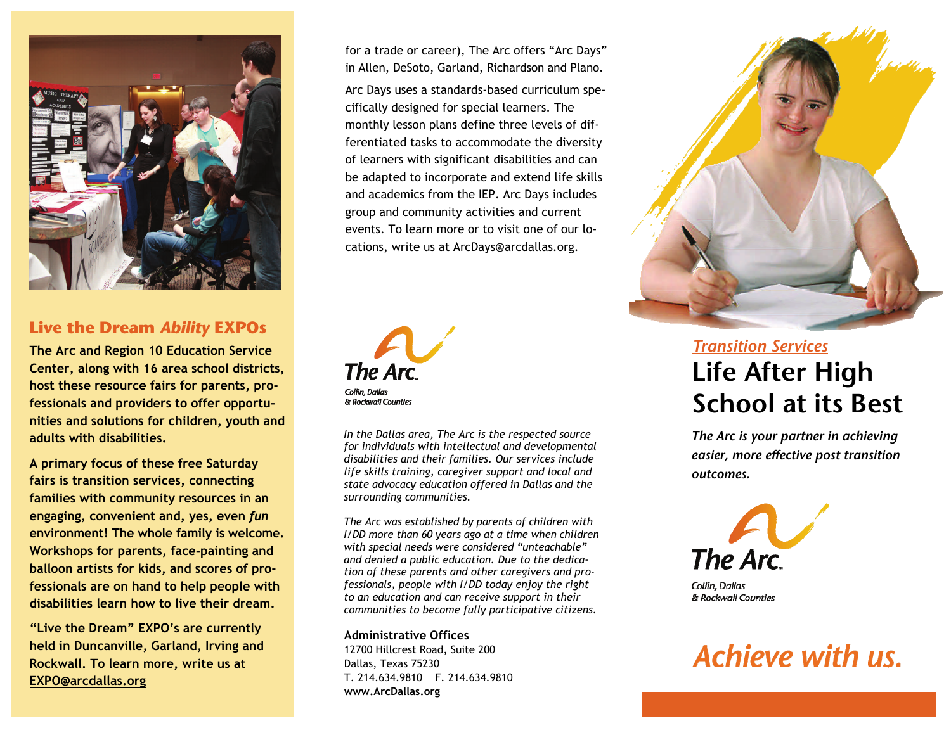

## **Live the Dream** *Ability* **EXPOs**

**The Arc and Region 10 Education Service Center, along with 16 area school districts, host these resource fairs for parents, professionals and providers to offer opportunities and solutions for children, youth and adults with disabilities.** 

**A primary focus of these free Saturday fairs is transition services, connecting families with community resources in an engaging, convenient and, yes, even** *fun*  **environment! The whole family is welcome. Workshops for parents, face-painting and balloon artists for kids, and scores of professionals are on hand to help people with disabilities learn how to live their dream.** 

**"Live the Dream" EXPO's are currently held in Duncanville, Garland, Irving and Rockwall. To learn more, write us at EXPO@arcdallas.org**

for a trade or career), The Arc offers "Arc Days" in Allen, DeSoto, Garland, Richardson and Plano.

Arc Days uses a standards-based curriculum specifically designed for special learners. The monthly lesson plans define three levels of differentiated tasks to accommodate the diversity of learners with significant disabilities and can be adapted to incorporate and extend life skills and academics from the IEP. Arc Days includes group and community activities and current events. To learn more or to visit one of our locations, write us at ArcDays@arcdallas.org.



*In the Dallas area, The Arc is the respected source for individuals with intellectual and developmental disabilities and their families. Our services include life skills training, caregiver support and local and state advocacy education offered in Dallas and the surrounding communities.* 

*The Arc was established by parents of children with I/DD more than 60 years ago at a time when children with special needs were considered "unteachable" and denied a public education. Due to the dedication of these parents and other caregivers and professionals, people with I/DD today enjoy the right to an education and can receive support in their communities to become fully participative citizens.* 

**Administrative Offices** 12700 Hillcrest Road, Suite 200 Dallas, Texas 75230 T. 214.634.9810 F. 214.634.9810 **www.ArcDallas.org** 



## *Transition Services***Life After High School at its Best**

*The Arc is your partner in achieving easier, more effective post transition outcomes.* 



Collin, Dallas & Rockwall Counties

# Achieve with us.